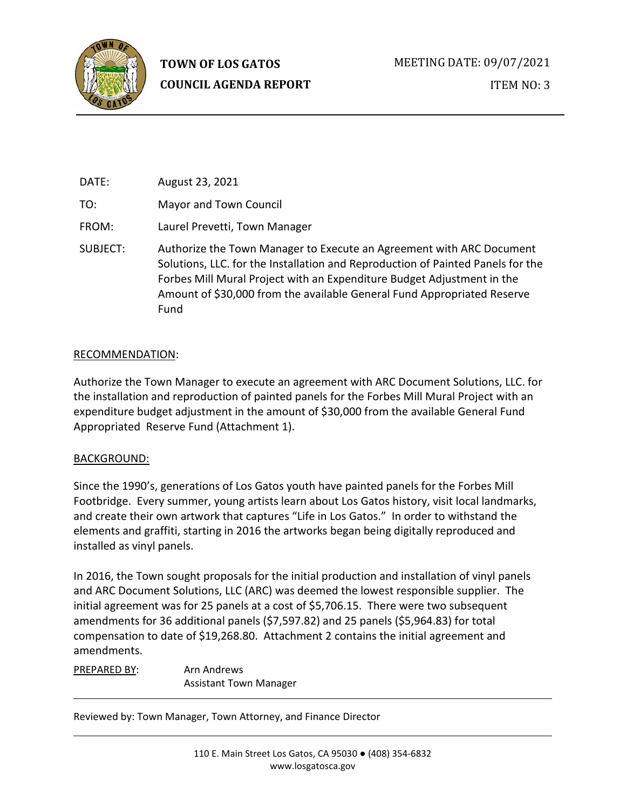

DATE: August 23, 2021 TO: Mayor and Town Council FROM: Laurel Prevetti, Town Manager SUBJECT: Authorize the Town Manager to Execute an Agreement with ARC Document Solutions, LLC. for the Installation and Reproduction of Painted Panels for the Forbes Mill Mural Project with an Expenditure Budget Adjustment in the Amount of \$30,000 from the available General Fund Appropriated Reserve Fund

## RECOMMENDATION:

Authorize the Town Manager to execute an agreement with ARC Document Solutions, LLC. for the installation and reproduction of painted panels for the Forbes Mill Mural Project with an expenditure budget adjustment in the amount of \$30,000 from the available General Fund Appropriated Reserve Fund (Attachment 1).

# BACKGROUND:

Since the 1990's, generations of Los Gatos youth have painted panels for the Forbes Mill Footbridge. Every summer, young artists learn about Los Gatos history, visit local landmarks, and create their own artwork that captures "Life in Los Gatos." In order to withstand the elements and graffiti, starting in 2016 the artworks began being digitally reproduced and installed as vinyl panels.

In 2016, the Town sought proposals for the initial production and installation of vinyl panels and ARC Document Solutions, LLC (ARC) was deemed the lowest responsible supplier. The initial agreement was for 25 panels at a cost of \$5,706.15. There were two subsequent amendments for 36 additional panels (\$7,597.82) and 25 panels (\$5,964.83) for total compensation to date of \$19,268.80. Attachment 2 contains the initial agreement and amendments.

PREPARED BY: Arn Andrews Assistant Town Manager

Reviewed by: Town Manager, Town Attorney, and Finance Director